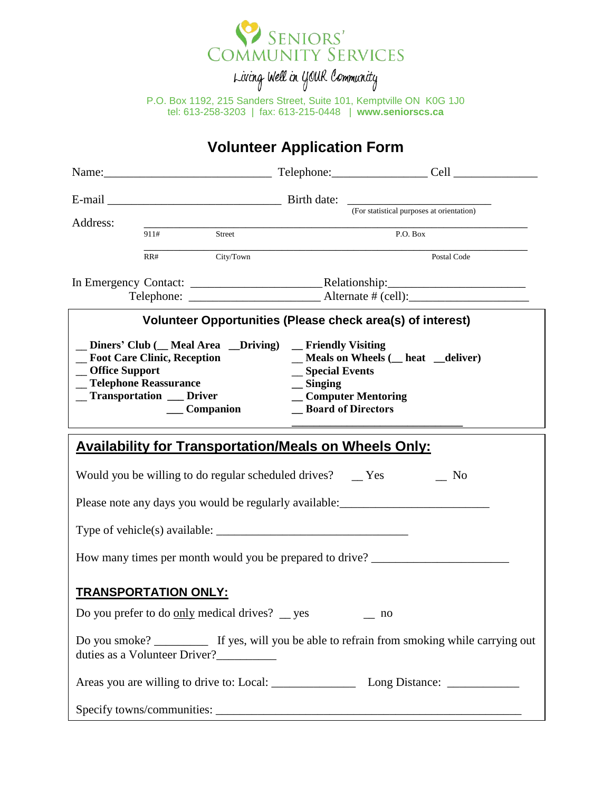

Living Well in YOUR Community

P.O. Box 1192, 215 Sanders Street, Suite 101, Kemptville ON K0G 1J0 tel: 613-258-3203 | fax: 613-215-0448 | **www.seniorscs.ca**

## **Volunteer Application Form**

| Address:        |                                                                                       |                               |                                                                                                                                                        |                                                                                                 |  |  |
|-----------------|---------------------------------------------------------------------------------------|-------------------------------|--------------------------------------------------------------------------------------------------------------------------------------------------------|-------------------------------------------------------------------------------------------------|--|--|
|                 | 911#                                                                                  | Street                        | P.O. Box                                                                                                                                               |                                                                                                 |  |  |
|                 | RR# City/Town                                                                         |                               |                                                                                                                                                        | Postal Code                                                                                     |  |  |
|                 |                                                                                       |                               |                                                                                                                                                        |                                                                                                 |  |  |
|                 |                                                                                       |                               | Volunteer Opportunities (Please check area(s) of interest)                                                                                             |                                                                                                 |  |  |
| _Office Support | _ Foot Care Clinic, Reception<br>_ Telephone Reassurance<br>_Transportation __ Driver | __ Companion                  | _ Diners' Club (_ Meal Area _ _Driving) _ Friendly Visiting<br>_Special Events<br>$\equiv$ Singing<br>_Computer Mentoring<br><b>Board of Directors</b> | _Meals on Wheels (_heat _deliver)                                                               |  |  |
|                 |                                                                                       |                               | <b>Availability for Transportation/Meals on Wheels Only:</b>                                                                                           |                                                                                                 |  |  |
|                 |                                                                                       |                               | Would you be willing to do regular scheduled drives? __ Yes                                                                                            | $\overline{\phantom{1}}$ No                                                                     |  |  |
|                 |                                                                                       |                               |                                                                                                                                                        | Please note any days you would be regularly available: __________________________               |  |  |
|                 |                                                                                       |                               |                                                                                                                                                        |                                                                                                 |  |  |
|                 |                                                                                       |                               |                                                                                                                                                        | How many times per month would you be prepared to drive? ________________________               |  |  |
|                 | <b>TRANSPORTATION ONLY:</b>                                                           |                               |                                                                                                                                                        |                                                                                                 |  |  |
|                 |                                                                                       |                               | Do you prefer to do only medical drives? $\_\$ yes $\_\$ no                                                                                            |                                                                                                 |  |  |
|                 |                                                                                       | duties as a Volunteer Driver? |                                                                                                                                                        | Do you smoke? _____________ If yes, will you be able to refrain from smoking while carrying out |  |  |
|                 |                                                                                       |                               |                                                                                                                                                        |                                                                                                 |  |  |
|                 |                                                                                       |                               |                                                                                                                                                        |                                                                                                 |  |  |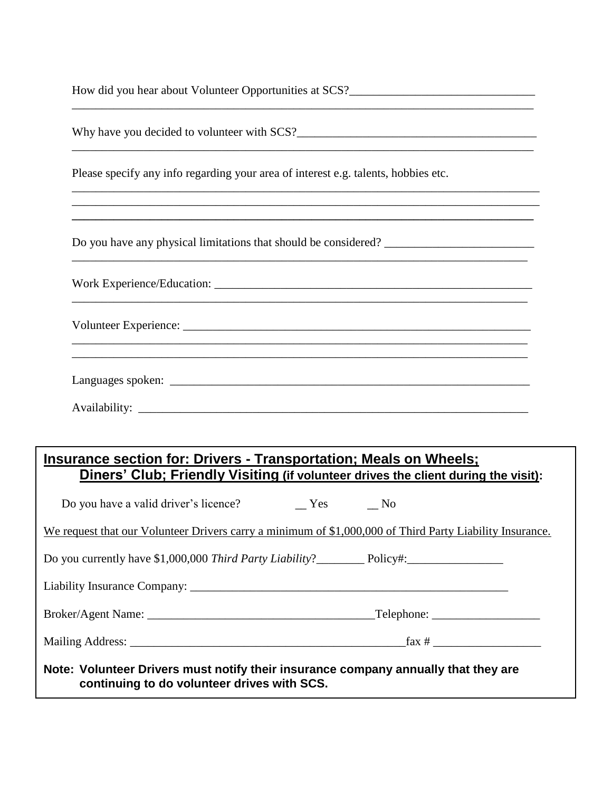|                                                                                    | Why have you decided to volunteer with SCS?                                                              |
|------------------------------------------------------------------------------------|----------------------------------------------------------------------------------------------------------|
| Please specify any info regarding your area of interest e.g. talents, hobbies etc. |                                                                                                          |
|                                                                                    |                                                                                                          |
|                                                                                    |                                                                                                          |
|                                                                                    |                                                                                                          |
|                                                                                    |                                                                                                          |
|                                                                                    |                                                                                                          |
| Insurance section for: Drivers - Transportation; Meals on Wheels;                  | Diners' Club; Friendly Visiting (if volunteer drives the client during the visit):                       |
| Do you have a valid driver's licence?                                              | Yes<br>$\overline{\text{No}}$                                                                            |
|                                                                                    | We request that our Volunteer Drivers carry a minimum of \$1,000,000 of Third Party Liability Insurance. |
|                                                                                    |                                                                                                          |
|                                                                                    |                                                                                                          |
|                                                                                    |                                                                                                          |
|                                                                                    |                                                                                                          |